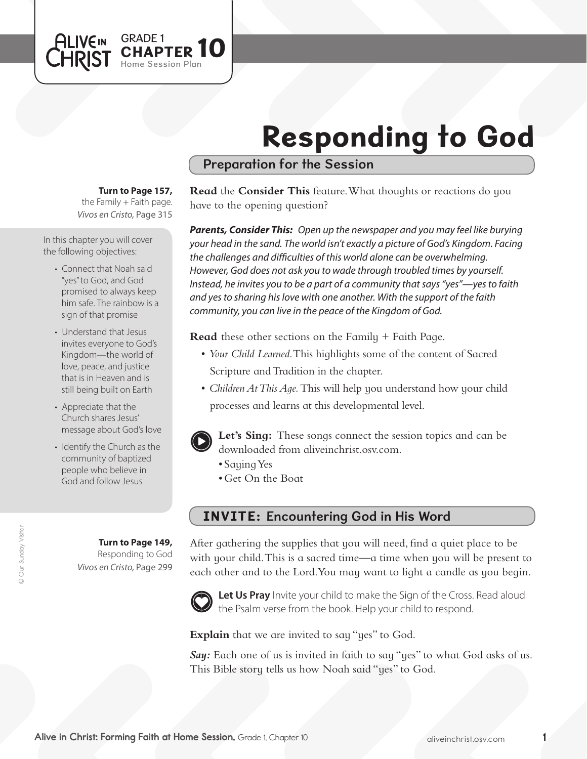# Responding to God

# Preparation for the Session

#### **Turn to Page 157,**

GRADE 1<br>CHAPTER 10

Session Plan

*Vivos en Cristo,* Page 315 the Family  $+$  Faith page.

In this chapter you will cover the following objectives:

**ALIVEIN** 

- Connect that Noah said "yes"to God, and God promised to always keep him safe. The rainbow is a sign of that promise
- Understand that Jesus invites everyone to God's Kingdom—the world of love, peace, and justice that is in Heaven and is still being built on Earth
- Appreciate that the Church shares Jesus' message about God's love
- Identify the Church as the community of baptized people who believe in God and follow Jesus

**Turn to Page 149,** Responding to God *Vivos en Cristo,* Page 299

#### **Read** the **Consider This** feature. What thoughts or reactions do you have to the opening question?

*Parents, Consider This: Open up the newspaper and you may feel like burying your head in the sand. The world isn't exactly a picture of God's Kingdom. Facing the challenges and difficulties of this world alone can be overwhelming. However, God does not ask you to wade through troubled times by yourself. Instead, he invites you to be a part of a community that says "yes"—yes to faith and yes to sharing his love with one another. With the support of the faith community, you can live in the peace of the Kingdom of God.*

**Read** these other sections on the Family + Faith Page.

- • *Your Child Learned*. This highlights some of the content of Sacred Scripture and Tradition in the chapter.
- *Children At This Age*. This will help you understand how your child processes and learns at this developmental level.



**Let's Sing:** These songs connect the session topics and can be downloaded from aliveinchrist.osv.com.

- Saying Yes
- Get On the Boat

# INVITE: Encountering God in His Word

After gathering the supplies that you will need, find a quiet place to be with your child. This is a sacred time—a time when you will be present to each other and to the Lord.You may want to light a candle as you begin.



Let Us Pray Invite your child to make the Sign of the Cross. Read aloud the Psalm verse from the book. Help your child to respond.

**Explain** that we are invited to say "yes" to God.

**Say:** Each one of us is invited in faith to say "yes" to what God asks of us. This Bible story tells us how Noah said "yes" to God.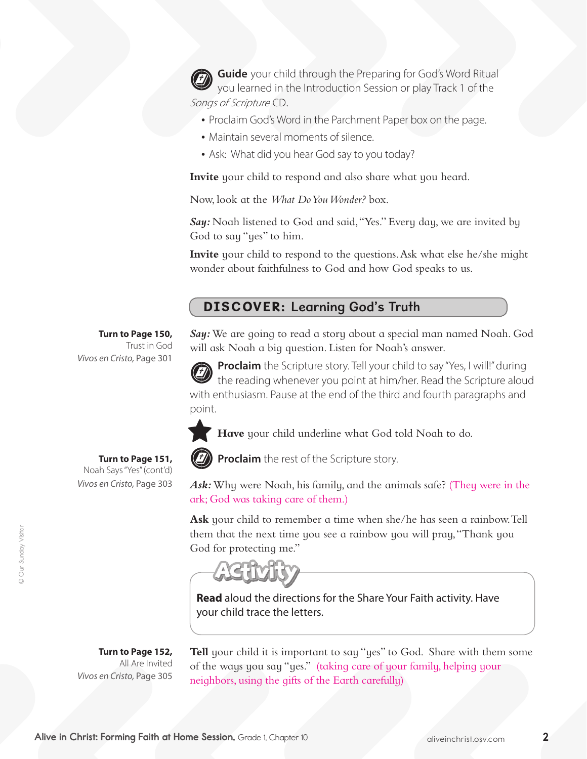**Guide** your child through the Preparing for God's Word Ritual you learned in the Introduction Session or play Track 1 of the Songs of Scripture CD.

- Proclaim God's Word in the Parchment Paper box on the page.
- Maintain several moments of silence.
- Ask: What did you hear God say to you today?

**Invite** your child to respond and also share what you heard.

Now, look at the *What Do You Wonder?* box.

Say: Noah listened to God and said, "Yes." Every day, we are invited by God to say "yes" to him.

**Invite** your child to respond to the questions. Ask what else he/she might wonder about faithfulness to God and how God speaks to us.

# DISCOVER: Learning God's Truth

**Turn to Page 150,** Trust in God

**Turn to Page 151,**  Noah Says"Yes"(cont'd)

*Vivos en Cristo,* Page 303

*Say:*We are going to read a story about a special man named Noah. God will ask Noah a big question. Listen for Noah's answer.

**Proclaim** the Scripture story. Tell your child to say "Yes, I will!" during the reading whenever you point at him/her. Read the Scripture aloud with enthusiasm. Pause at the end of the third and fourth paragraphs and point.

**Have** your child underline what God told Noah to do.



**Proclaim** the rest of the Scripture story.

*Ask:*Why were Noah, his family, and the animals safe? (They were in the ark; God was taking care of them.)

**Ask** your child to remember a time when she/he has seen a rainbow.Tell them that the next time you see a rainbow you will pray,"Thank you God for protecting me."

**Read** aloud the directions for the Share Your Faith activity. Have your child trace the letters.

**Turn to Page 152,** All Are Invited *Vivos en Cristo,* Page 305

**Tell** your child it is important to say "yes" to God. Share with them some of the ways you say "yes." (taking care of your family, helping your neighbors, using the gifts of the Earth carefully)

*Vivos en Cristo,* Page 301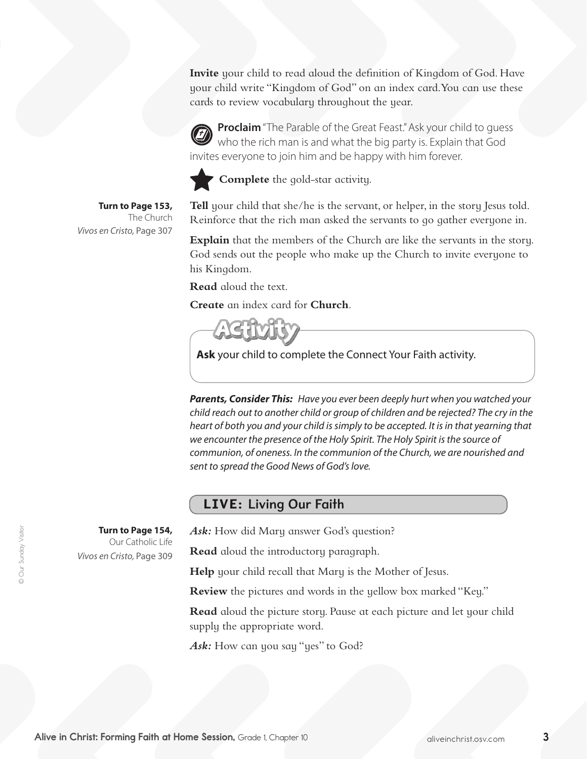**Invite** your child to read aloud the definition of Kingdom of God. Have your child write "Kingdom of God" on an index card.You can use these cards to review vocabulary throughout the year.

**Proclaim** "The Parable of the Great Feast." Ask your child to quess who the rich man is and what the big party is. Explain that God invites everyone to join him and be happy with him forever.



**Complete** the gold-star activity.

**Turn to Page 153,** The Church *Vivos en Cristo,* Page 307

> **Turn to Page 154,**  Our Catholic Life

*Vivos en Cristo,* Page 309

**Tell** your child that she/he is the servant, or helper, in the story Jesus told. Reinforce that the rich man asked the servants to go gather everyone in.

**Explain** that the members of the Church are like the servants in the story. God sends out the people who make up the Church to invite everyone to his Kingdom.

**Read** aloud the text.

**Create** an index card for **Church**.

**Ask** your child to complete the Connect Your Faith activity.

*Parents, Consider This: Have you ever been deeply hurt when you watched your child reach out to another child or group of children and be rejected? The cry in the heart of both you and your child is simply to be accepted. It is in that yearning that we encounter the presence of the Holy Spirit. The Holy Spirit is the source of communion, of oneness. In the communion of the Church, we are nourished and sent to spread the Good News of God's love.*

# LIVE: Living Our Faith

Ask: How did Mary answer God's question?

**Read** aloud the introductory paragraph.

**Help** your child recall that Mary is the Mother of Jesus.

**Review** the pictures and words in the yellow box marked "Key."

**Read** aloud the picture story. Pause at each picture and let your child supply the appropriate word.

Ask: How can you say "yes" to God?